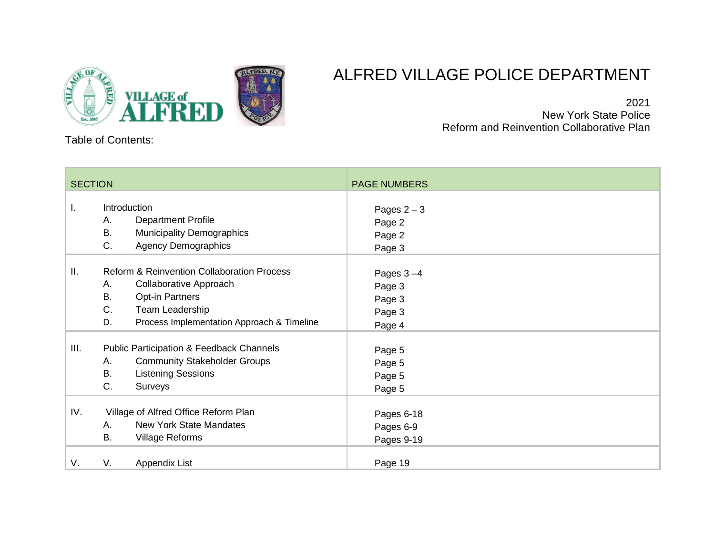

# ALFRED VILLAGE POLICE DEPARTMENT

2021 New York State Police Reform and Reinvention Collaborative Plan

Table of Contents:

| <b>SECTION</b> |                                                                                                                                                                                                           | <b>PAGE NUMBERS</b>                                 |
|----------------|-----------------------------------------------------------------------------------------------------------------------------------------------------------------------------------------------------------|-----------------------------------------------------|
| I.             | Introduction<br><b>Department Profile</b><br>А.<br><b>B.</b><br><b>Municipality Demographics</b><br>$C_{\cdot}$<br><b>Agency Demographics</b>                                                             | Pages $2-3$<br>Page 2<br>Page 2<br>Page 3           |
| Ш.             | <b>Reform &amp; Reinvention Collaboration Process</b><br>Collaborative Approach<br>Α.<br><b>B.</b><br><b>Opt-in Partners</b><br>C.<br>Team Leadership<br>D.<br>Process Implementation Approach & Timeline | Pages $3-4$<br>Page 3<br>Page 3<br>Page 3<br>Page 4 |
| III.           | <b>Public Participation &amp; Feedback Channels</b><br><b>Community Stakeholder Groups</b><br>Α.<br><b>Listening Sessions</b><br>B.<br>C.<br>Surveys                                                      | Page 5<br>Page 5<br>Page 5<br>Page 5                |
| IV.            | Village of Alfred Office Reform Plan<br><b>New York State Mandates</b><br>А.<br>B.<br><b>Village Reforms</b>                                                                                              | Pages 6-18<br>Pages 6-9<br>Pages 9-19               |
| V.             | V.<br>Appendix List                                                                                                                                                                                       | Page 19                                             |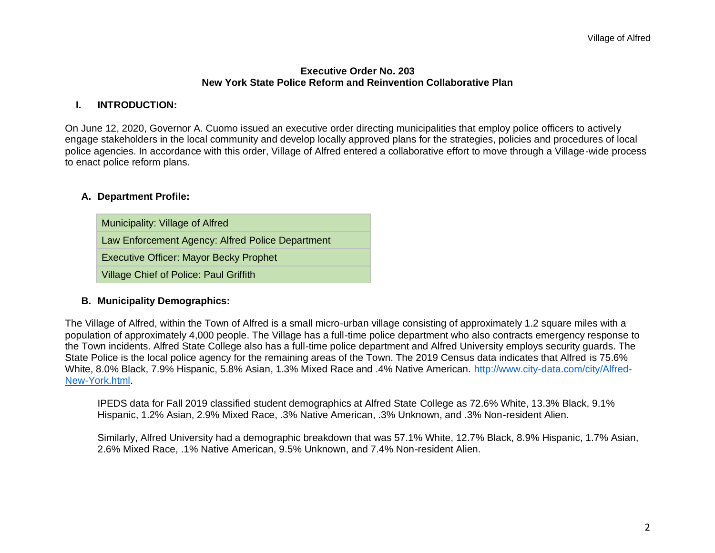### **Executive Order No. 203 New York State Police Reform and Reinvention Collaborative Plan**

### **I. INTRODUCTION:**

On June 12, 2020, Governor A. Cuomo issued an executive order directing municipalities that employ police officers to actively engage stakeholders in the local community and develop locally approved plans for the strategies, policies and procedures of local police agencies. In accordance with this order, Village of Alfred entered a collaborative effort to move through a Village-wide process to enact police reform plans.

### **A. Department Profile:**

Municipality: Village of Alfred Law Enforcement Agency: Alfred Police Department Executive Officer: Mayor Becky Prophet Village Chief of Police: Paul Griffith

### **B. Municipality Demographics:**

The Village of Alfred, within the Town of Alfred is a small micro-urban village consisting of approximately 1.2 square miles with a population of approximately 4,000 people. The Village has a full-time police department who also contracts emergency response to the Town incidents. Alfred State College also has a full-time police department and Alfred University employs security guards. The State Police is the local police agency for the remaining areas of the Town. The 2019 Census data indicates that Alfred is 75.6% White, 8.0% Black, 7.9% Hispanic, 5.8% Asian, 1.3% Mixed Race and .4% Native American. [http://www.city-data.com/city/Alfred-](http://www.city-data.com/city/Alfred-New-York.html)[New-York.html.](http://www.city-data.com/city/Alfred-New-York.html)

IPEDS data for Fall 2019 classified student demographics at Alfred State College as 72.6% White, 13.3% Black, 9.1% Hispanic, 1.2% Asian, 2.9% Mixed Race, .3% Native American, .3% Unknown, and .3% Non-resident Alien.

Similarly, Alfred University had a demographic breakdown that was 57.1% White, 12.7% Black, 8.9% Hispanic, 1.7% Asian, 2.6% Mixed Race, .1% Native American, 9.5% Unknown, and 7.4% Non-resident Alien.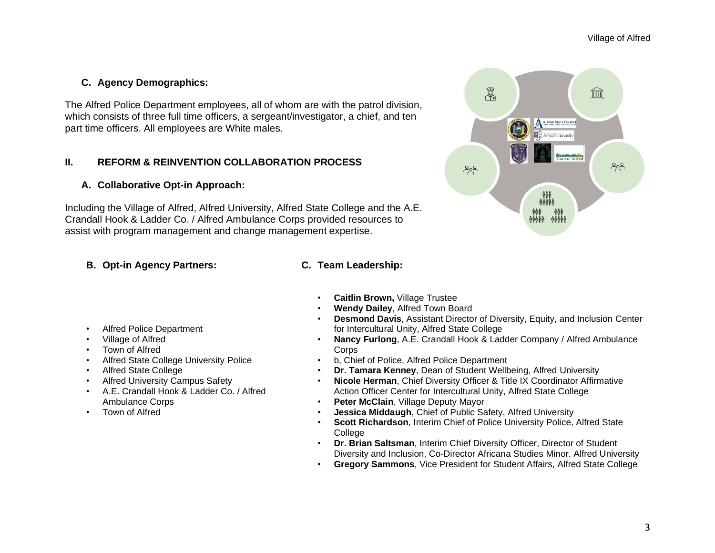## **C. Agency Demographics:**

The Alfred Police Department employees, all of whom are with the patrol division, which consists of three full time officers, a sergeant/investigator, a chief, and ten part time officers. All employees are White males.

### **II. REFORM & REINVENTION COLLABORATION PROCESS**

### **A. Collaborative Opt-in Approach:**

Including the Village of Alfred, Alfred University, Alfred State College and the A.E. Crandall Hook & Ladder Co. / Alfred Ambulance Corps provided resources to assist with program management and change management expertise.

### **B. Opt-in Agency Partners: C. Team Leadership:**

- Alfred Police Department
- Village of Alfred
- Town of Alfred
- Alfred State College University Police
- Alfred State College
- Alfred University Campus Safety
- A.E. Crandall Hook & Ladder Co. / Alfred Ambulance Corps
- Town of Alfred
- **Caitlin Brown,** Village Trustee
- **Wendy Dailey**, Alfred Town Board
- **Desmond Davis**, Assistant Director of Diversity, Equity, and Inclusion Center for Intercultural Unity, Alfred State College
- **Nancy Furlong**, A.E. Crandall Hook & Ladder Company / Alfred Ambulance **Corps**
- b, Chief of Police, Alfred Police Department
- **Dr. Tamara Kenney**, Dean of Student Wellbeing, Alfred University
- **Nicole Herman**, Chief Diversity Officer & Title IX Coordinator Affirmative Action Officer Center for Intercultural Unity, Alfred State College
- **Peter McClain**, Village Deputy Mayor
- **Jessica Middaugh**, Chief of Public Safety, Alfred University
- **Scott Richardson**, Interim Chief of Police University Police, Alfred State **College**
- **Dr. Brian Saltsman**, Interim Chief Diversity Officer, Director of Student Diversity and Inclusion, Co-Director Africana Studies Minor, Alfred University
- **Gregory Sammons**, Vice President for Student Affairs, Alfred State College

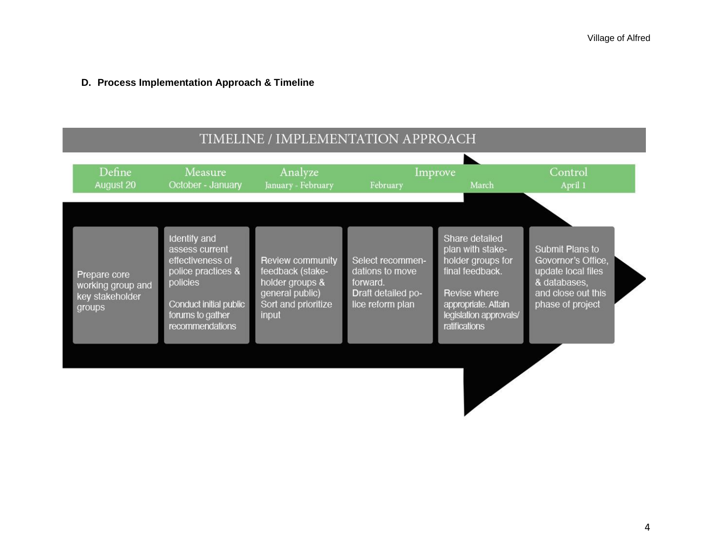# **D. Process Implementation Approach & Timeline**

| TIMELINE / IMPLEMENTATION APPROACH                             |                                                                                                                                                              |                                                                                                            |                                                                                           |                                                                                                                                                              |                                                                                                                       |
|----------------------------------------------------------------|--------------------------------------------------------------------------------------------------------------------------------------------------------------|------------------------------------------------------------------------------------------------------------|-------------------------------------------------------------------------------------------|--------------------------------------------------------------------------------------------------------------------------------------------------------------|-----------------------------------------------------------------------------------------------------------------------|
| Define<br>August 20                                            | Measure<br>October - January                                                                                                                                 | Analyze<br>January - February                                                                              | February                                                                                  | Improve<br>March                                                                                                                                             | Control<br>April 1                                                                                                    |
| Prepare core<br>working group and<br>key stakeholder<br>groups | <b>Identify and</b><br>assess current<br>effectiveness of<br>police practices &<br>policies<br>Conduct initial public<br>forums to gather<br>recommendations | Review community<br>feedback (stake-<br>holder groups &<br>general public)<br>Sort and prioritize<br>input | Select recommen-<br>dations to move<br>forward.<br>Draft detailed po-<br>lice reform plan | Share detailed<br>plan with stake-<br>holder groups for<br>final feedback.<br>Revise where<br>appropriate. Attain<br>legislation approvals/<br>ratifications | Submit Plans to<br>Govornor's Office,<br>update local files<br>& databases,<br>and close out this<br>phase of project |
|                                                                |                                                                                                                                                              |                                                                                                            |                                                                                           |                                                                                                                                                              |                                                                                                                       |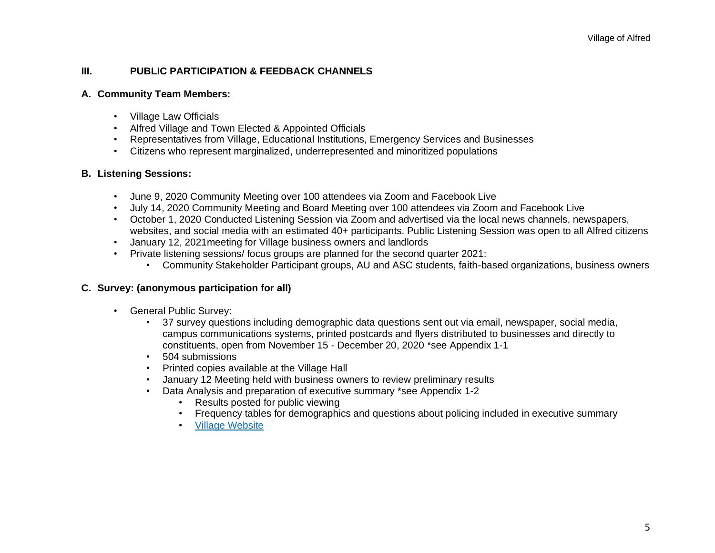### **III. PUBLIC PARTICIPATION & FEEDBACK CHANNELS**

### **A. Community Team Members:**

- Village Law Officials
- Alfred Village and Town Elected & Appointed Officials
- Representatives from Village, Educational Institutions, Emergency Services and Businesses
- Citizens who represent marginalized, underrepresented and minoritized populations

### **B. Listening Sessions:**

- June 9, 2020 Community Meeting over 100 attendees via Zoom and Facebook Live
- July 14, 2020 Community Meeting and Board Meeting over 100 attendees via Zoom and Facebook Live
- October 1, 2020 Conducted Listening Session via Zoom and advertised via the local news channels, newspapers, websites, and social media with an estimated 40+ participants. Public Listening Session was open to all Alfred citizens
- January 12, 2021meeting for Village business owners and landlords
- Private listening sessions/ focus groups are planned for the second quarter 2021:
	- Community Stakeholder Participant groups, AU and ASC students, faith-based organizations, business owners

### **C. Survey: (anonymous participation for all)**

- General Public Survey:
	- 37 survey questions including demographic data questions sent out via email, newspaper, social media, campus communications systems, printed postcards and flyers distributed to businesses and directly to constituents, open from November 15 - December 20, 2020 \*see Appendix 1-1
	- 504 submissions
	- Printed copies available at the Village Hall
	- January 12 Meeting held with business owners to review preliminary results
	- Data Analysis and preparation of executive summary \*see Appendix 1-2
		- Results posted for public viewing
		- Frequency tables for demographics and questions about policing included in executive summary
		- [Village Website](https://www.alfredny.org/aces)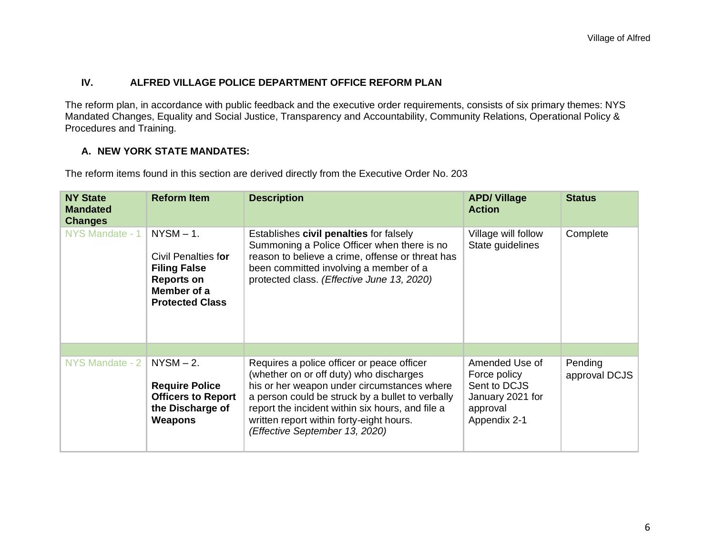### **IV. ALFRED VILLAGE POLICE DEPARTMENT OFFICE REFORM PLAN**

The reform plan, in accordance with public feedback and the executive order requirements, consists of six primary themes: NYS Mandated Changes, Equality and Social Justice, Transparency and Accountability, Community Relations, Operational Policy & Procedures and Training.

### **A. NEW YORK STATE MANDATES:**

The reform items found in this section are derived directly from the Executive Order No. 203

| <b>NY State</b><br><b>Mandated</b><br><b>Changes</b> | <b>Reform Item</b>                                                                                                       | <b>Description</b>                                                                                                                                                                                                                                                                                                         | <b>APD/Village</b><br><b>Action</b>                                                            | <b>Status</b>            |
|------------------------------------------------------|--------------------------------------------------------------------------------------------------------------------------|----------------------------------------------------------------------------------------------------------------------------------------------------------------------------------------------------------------------------------------------------------------------------------------------------------------------------|------------------------------------------------------------------------------------------------|--------------------------|
| NYS Mandate - 1                                      | $NYSM - 1$ .<br>Civil Penalties for<br><b>Filing False</b><br><b>Reports on</b><br>Member of a<br><b>Protected Class</b> | Establishes civil penalties for falsely<br>Summoning a Police Officer when there is no<br>reason to believe a crime, offense or threat has<br>been committed involving a member of a<br>protected class. (Effective June 13, 2020)                                                                                         | Village will follow<br>State guidelines                                                        | Complete                 |
|                                                      |                                                                                                                          |                                                                                                                                                                                                                                                                                                                            |                                                                                                |                          |
| NYS Mandate - 2                                      | $NYSM - 2.$<br><b>Require Police</b><br><b>Officers to Report</b><br>the Discharge of<br>Weapons                         | Requires a police officer or peace officer<br>(whether on or off duty) who discharges<br>his or her weapon under circumstances where<br>a person could be struck by a bullet to verbally<br>report the incident within six hours, and file a<br>written report within forty-eight hours.<br>(Effective September 13, 2020) | Amended Use of<br>Force policy<br>Sent to DCJS<br>January 2021 for<br>approval<br>Appendix 2-1 | Pending<br>approval DCJS |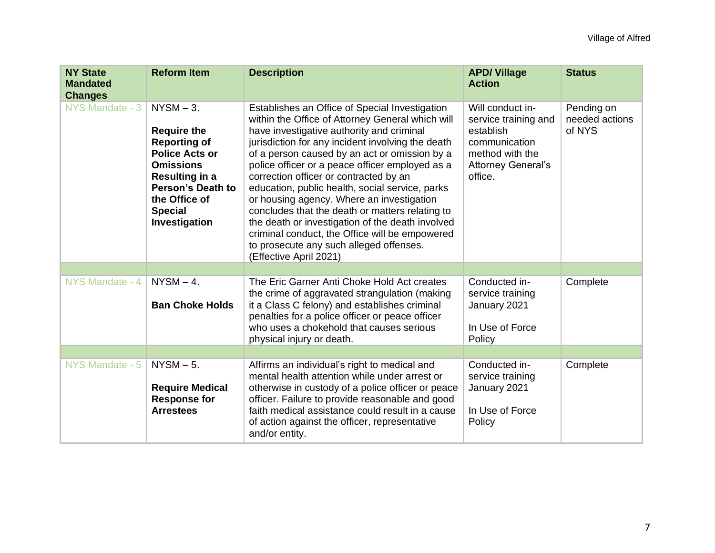| <b>NY State</b><br><b>Mandated</b><br><b>Changes</b> | <b>Reform Item</b>                                                                                                                                                                                              | <b>Description</b>                                                                                                                                                                                                                                                                                                                                                                                                                                                                                                                                                                                                                                                               | <b>APD/Village</b><br><b>Action</b>                                                                                               | <b>Status</b>                          |
|------------------------------------------------------|-----------------------------------------------------------------------------------------------------------------------------------------------------------------------------------------------------------------|----------------------------------------------------------------------------------------------------------------------------------------------------------------------------------------------------------------------------------------------------------------------------------------------------------------------------------------------------------------------------------------------------------------------------------------------------------------------------------------------------------------------------------------------------------------------------------------------------------------------------------------------------------------------------------|-----------------------------------------------------------------------------------------------------------------------------------|----------------------------------------|
| NYS Mandate - 3                                      | $NYSM - 3$ .<br><b>Require the</b><br><b>Reporting of</b><br><b>Police Acts or</b><br><b>Omissions</b><br><b>Resulting in a</b><br><b>Person's Death to</b><br>the Office of<br><b>Special</b><br>Investigation | Establishes an Office of Special Investigation<br>within the Office of Attorney General which will<br>have investigative authority and criminal<br>jurisdiction for any incident involving the death<br>of a person caused by an act or omission by a<br>police officer or a peace officer employed as a<br>correction officer or contracted by an<br>education, public health, social service, parks<br>or housing agency. Where an investigation<br>concludes that the death or matters relating to<br>the death or investigation of the death involved<br>criminal conduct, the Office will be empowered<br>to prosecute any such alleged offenses.<br>(Effective April 2021) | Will conduct in-<br>service training and<br>establish<br>communication<br>method with the<br><b>Attorney General's</b><br>office. | Pending on<br>needed actions<br>of NYS |
|                                                      |                                                                                                                                                                                                                 |                                                                                                                                                                                                                                                                                                                                                                                                                                                                                                                                                                                                                                                                                  |                                                                                                                                   |                                        |
| NYS Mandate - 4                                      | $NYSM - 4.$<br><b>Ban Choke Holds</b>                                                                                                                                                                           | The Eric Garner Anti Choke Hold Act creates<br>the crime of aggravated strangulation (making<br>it a Class C felony) and establishes criminal<br>penalties for a police officer or peace officer<br>who uses a chokehold that causes serious<br>physical injury or death.                                                                                                                                                                                                                                                                                                                                                                                                        | Conducted in-<br>service training<br>January 2021<br>In Use of Force<br>Policy                                                    | Complete                               |
|                                                      |                                                                                                                                                                                                                 |                                                                                                                                                                                                                                                                                                                                                                                                                                                                                                                                                                                                                                                                                  |                                                                                                                                   |                                        |
| NYS Mandate - 5                                      | $NYSM - 5$ .<br><b>Require Medical</b><br><b>Response for</b><br><b>Arrestees</b>                                                                                                                               | Affirms an individual's right to medical and<br>mental health attention while under arrest or<br>otherwise in custody of a police officer or peace<br>officer. Failure to provide reasonable and good<br>faith medical assistance could result in a cause<br>of action against the officer, representative<br>and/or entity.                                                                                                                                                                                                                                                                                                                                                     | Conducted in-<br>service training<br>January 2021<br>In Use of Force<br>Policy                                                    | Complete                               |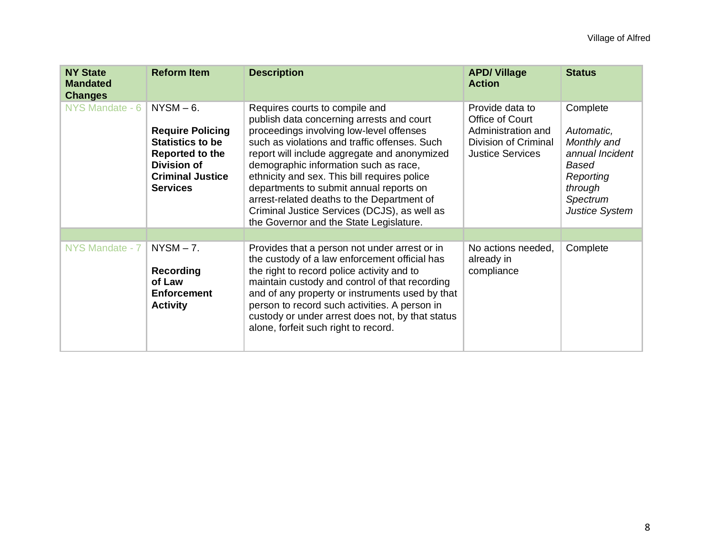| <b>NY State</b><br><b>Mandated</b><br><b>Changes</b> | <b>Reform Item</b>                                                                                                                                       | <b>Description</b>                                                                                                                                                                                                                                                                                                                                                                                                                                                                                    | <b>APD/Village</b><br><b>Action</b>                                                                         | <b>Status</b>                                                                                                                         |
|------------------------------------------------------|----------------------------------------------------------------------------------------------------------------------------------------------------------|-------------------------------------------------------------------------------------------------------------------------------------------------------------------------------------------------------------------------------------------------------------------------------------------------------------------------------------------------------------------------------------------------------------------------------------------------------------------------------------------------------|-------------------------------------------------------------------------------------------------------------|---------------------------------------------------------------------------------------------------------------------------------------|
| NYS Mandate - 6                                      | $NYSM - 6.$<br><b>Require Policing</b><br><b>Statistics to be</b><br>Reported to the<br><b>Division of</b><br><b>Criminal Justice</b><br><b>Services</b> | Requires courts to compile and<br>publish data concerning arrests and court<br>proceedings involving low-level offenses<br>such as violations and traffic offenses. Such<br>report will include aggregate and anonymized<br>demographic information such as race,<br>ethnicity and sex. This bill requires police<br>departments to submit annual reports on<br>arrest-related deaths to the Department of<br>Criminal Justice Services (DCJS), as well as<br>the Governor and the State Legislature. | Provide data to<br>Office of Court<br>Administration and<br>Division of Criminal<br><b>Justice Services</b> | Complete<br>Automatic,<br>Monthly and<br>annual Incident<br><b>Based</b><br>Reporting<br>through<br>Spectrum<br><b>Justice System</b> |
|                                                      |                                                                                                                                                          |                                                                                                                                                                                                                                                                                                                                                                                                                                                                                                       |                                                                                                             |                                                                                                                                       |
| NYS Mandate - 7                                      | $NYSM - 7.$<br><b>Recording</b><br>of Law<br><b>Enforcement</b><br><b>Activity</b>                                                                       | Provides that a person not under arrest or in<br>the custody of a law enforcement official has<br>the right to record police activity and to<br>maintain custody and control of that recording<br>and of any property or instruments used by that<br>person to record such activities. A person in<br>custody or under arrest does not, by that status<br>alone, forfeit such right to record.                                                                                                        | No actions needed,<br>already in<br>compliance                                                              | Complete                                                                                                                              |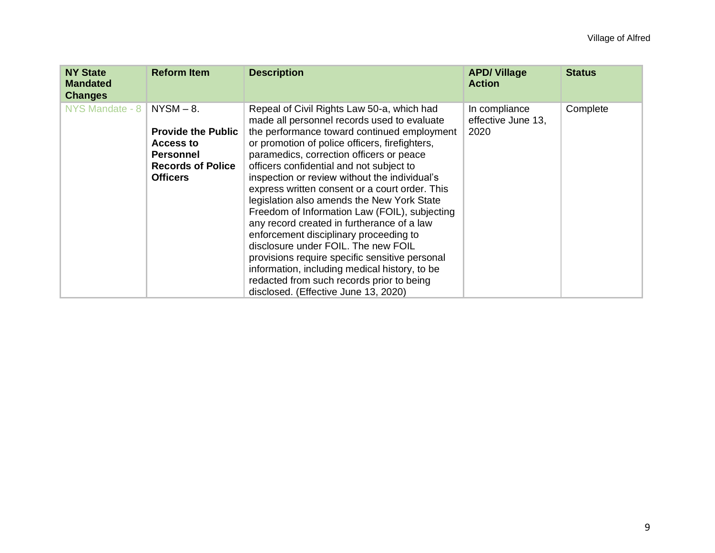| <b>NY State</b><br><b>Mandated</b><br><b>Changes</b> | <b>Reform Item</b>                                                                                                              | <b>Description</b>                                                                                                                                                                                                                                                                                                                                                                                                                                                                                                                                                                                                                                                                                                                                                                                          | <b>APD/Village</b><br><b>Action</b>         | <b>Status</b> |
|------------------------------------------------------|---------------------------------------------------------------------------------------------------------------------------------|-------------------------------------------------------------------------------------------------------------------------------------------------------------------------------------------------------------------------------------------------------------------------------------------------------------------------------------------------------------------------------------------------------------------------------------------------------------------------------------------------------------------------------------------------------------------------------------------------------------------------------------------------------------------------------------------------------------------------------------------------------------------------------------------------------------|---------------------------------------------|---------------|
| NYS Mandate - 8                                      | $NYSM - 8.$<br><b>Provide the Public</b><br><b>Access to</b><br><b>Personnel</b><br><b>Records of Police</b><br><b>Officers</b> | Repeal of Civil Rights Law 50-a, which had<br>made all personnel records used to evaluate<br>the performance toward continued employment<br>or promotion of police officers, firefighters,<br>paramedics, correction officers or peace<br>officers confidential and not subject to<br>inspection or review without the individual's<br>express written consent or a court order. This<br>legislation also amends the New York State<br>Freedom of Information Law (FOIL), subjecting<br>any record created in furtherance of a law<br>enforcement disciplinary proceeding to<br>disclosure under FOIL. The new FOIL<br>provisions require specific sensitive personal<br>information, including medical history, to be<br>redacted from such records prior to being<br>disclosed. (Effective June 13, 2020) | In compliance<br>effective June 13,<br>2020 | Complete      |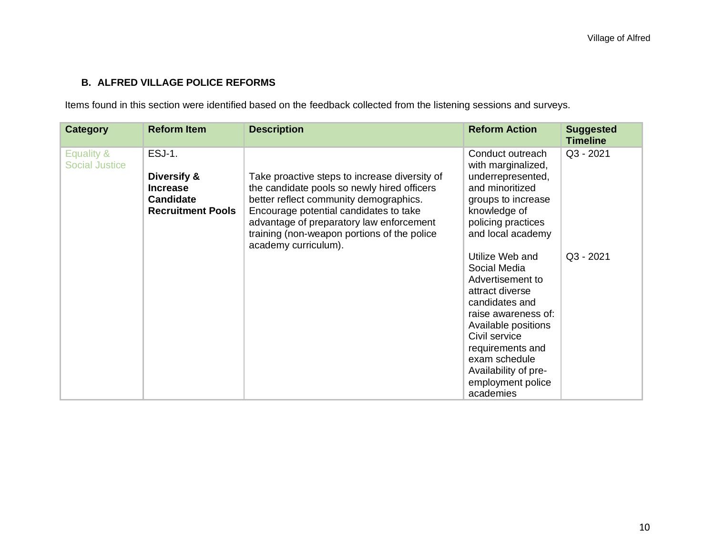# **B. ALFRED VILLAGE POLICE REFORMS**

Items found in this section were identified based on the feedback collected from the listening sessions and surveys.

| <b>Category</b>                     | <b>Reform Item</b>                                                                              | <b>Description</b>                                                                                                                                                                                                                                                                                  | <b>Reform Action</b>                                                                                                                                                                                                                                                                                                                                                                                                      | <b>Suggested</b><br><b>Timeline</b> |
|-------------------------------------|-------------------------------------------------------------------------------------------------|-----------------------------------------------------------------------------------------------------------------------------------------------------------------------------------------------------------------------------------------------------------------------------------------------------|---------------------------------------------------------------------------------------------------------------------------------------------------------------------------------------------------------------------------------------------------------------------------------------------------------------------------------------------------------------------------------------------------------------------------|-------------------------------------|
| Equality &<br><b>Social Justice</b> | <b>ESJ-1.</b><br>Diversify &<br><b>Increase</b><br><b>Candidate</b><br><b>Recruitment Pools</b> | Take proactive steps to increase diversity of<br>the candidate pools so newly hired officers<br>better reflect community demographics.<br>Encourage potential candidates to take<br>advantage of preparatory law enforcement<br>training (non-weapon portions of the police<br>academy curriculum). | Conduct outreach<br>with marginalized,<br>underrepresented,<br>and minoritized<br>groups to increase<br>knowledge of<br>policing practices<br>and local academy<br>Utilize Web and<br>Social Media<br>Advertisement to<br>attract diverse<br>candidates and<br>raise awareness of:<br>Available positions<br>Civil service<br>requirements and<br>exam schedule<br>Availability of pre-<br>employment police<br>academies | Q3 - 2021<br>Q3 - 2021              |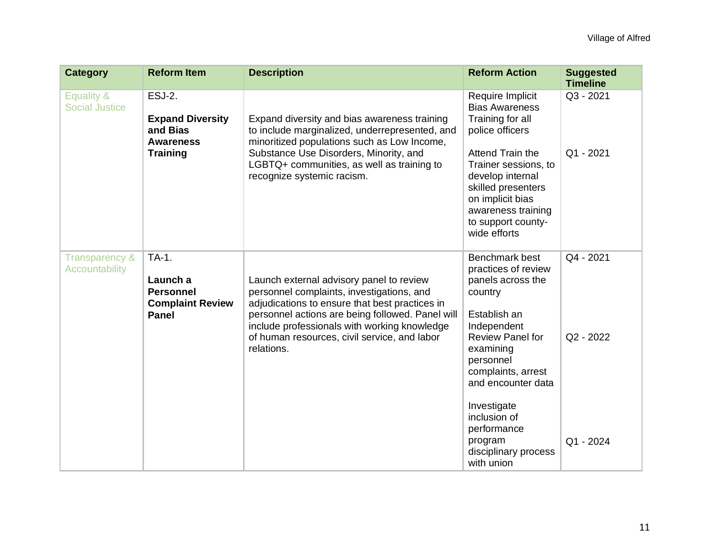| <b>Category</b>                             | <b>Reform Item</b>                                                               | <b>Description</b>                                                                                                                                                                                                                                                                                        | <b>Reform Action</b>                                                                                                                                                                           | <b>Suggested</b><br><b>Timeline</b> |
|---------------------------------------------|----------------------------------------------------------------------------------|-----------------------------------------------------------------------------------------------------------------------------------------------------------------------------------------------------------------------------------------------------------------------------------------------------------|------------------------------------------------------------------------------------------------------------------------------------------------------------------------------------------------|-------------------------------------|
| Equality &<br><b>Social Justice</b>         | ESJ-2.<br><b>Expand Diversity</b><br>and Bias<br><b>Awareness</b>                | Expand diversity and bias awareness training<br>to include marginalized, underrepresented, and<br>minoritized populations such as Low Income,                                                                                                                                                             | Require Implicit<br><b>Bias Awareness</b><br>Training for all<br>police officers                                                                                                               | Q3 - 2021                           |
|                                             | <b>Training</b>                                                                  | Substance Use Disorders, Minority, and<br>LGBTQ+ communities, as well as training to<br>recognize systemic racism.                                                                                                                                                                                        | Attend Train the<br>Trainer sessions, to<br>develop internal<br>skilled presenters<br>on implicit bias<br>awareness training<br>to support county-<br>wide efforts                             | Q1 - 2021                           |
| <b>Transparency &amp;</b><br>Accountability | TA-1.<br>Launch a<br><b>Personnel</b><br><b>Complaint Review</b><br><b>Panel</b> | Launch external advisory panel to review<br>personnel complaints, investigations, and<br>adjudications to ensure that best practices in<br>personnel actions are being followed. Panel will<br>include professionals with working knowledge<br>of human resources, civil service, and labor<br>relations. | Benchmark best<br>practices of review<br>panels across the<br>country<br>Establish an<br>Independent<br>Review Panel for<br>examining<br>personnel<br>complaints, arrest<br>and encounter data | Q4 - 2021<br>Q2 - 2022              |
|                                             |                                                                                  |                                                                                                                                                                                                                                                                                                           | Investigate<br>inclusion of<br>performance<br>program<br>disciplinary process<br>with union                                                                                                    | Q1 - 2024                           |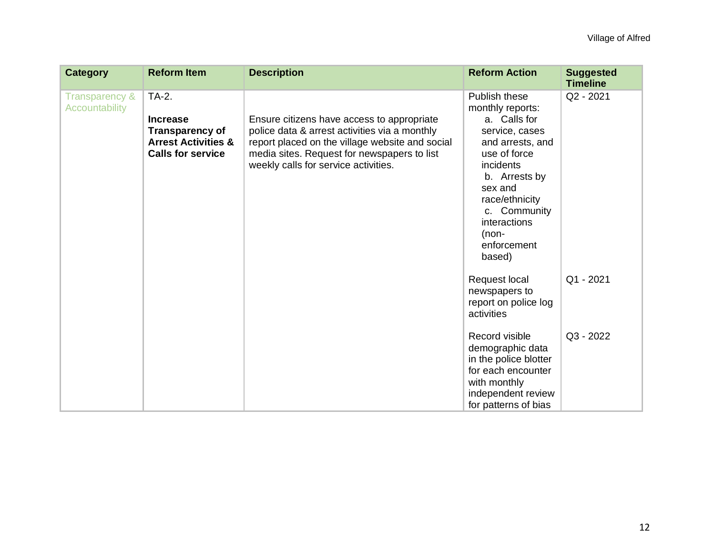| <b>Category</b>                             | <b>Reform Item</b>                                                                                               | <b>Description</b>                                                                                                                                                                                                                    | <b>Reform Action</b>                                                                                                                                                                                                                   | <b>Suggested</b><br><b>Timeline</b> |
|---------------------------------------------|------------------------------------------------------------------------------------------------------------------|---------------------------------------------------------------------------------------------------------------------------------------------------------------------------------------------------------------------------------------|----------------------------------------------------------------------------------------------------------------------------------------------------------------------------------------------------------------------------------------|-------------------------------------|
| <b>Transparency &amp;</b><br>Accountability | TA-2.<br><b>Increase</b><br><b>Transparency of</b><br><b>Arrest Activities &amp;</b><br><b>Calls for service</b> | Ensure citizens have access to appropriate<br>police data & arrest activities via a monthly<br>report placed on the village website and social<br>media sites. Request for newspapers to list<br>weekly calls for service activities. | Publish these<br>monthly reports:<br>a. Calls for<br>service, cases<br>and arrests, and<br>use of force<br>incidents<br>b. Arrests by<br>sex and<br>race/ethnicity<br>c. Community<br>interactions<br>$(non-$<br>enforcement<br>based) | Q2 - 2021                           |
|                                             |                                                                                                                  |                                                                                                                                                                                                                                       | Request local<br>newspapers to<br>report on police log<br>activities                                                                                                                                                                   | $Q1 - 2021$                         |
|                                             |                                                                                                                  |                                                                                                                                                                                                                                       | Record visible<br>demographic data<br>in the police blotter<br>for each encounter<br>with monthly<br>independent review<br>for patterns of bias                                                                                        | Q3 - 2022                           |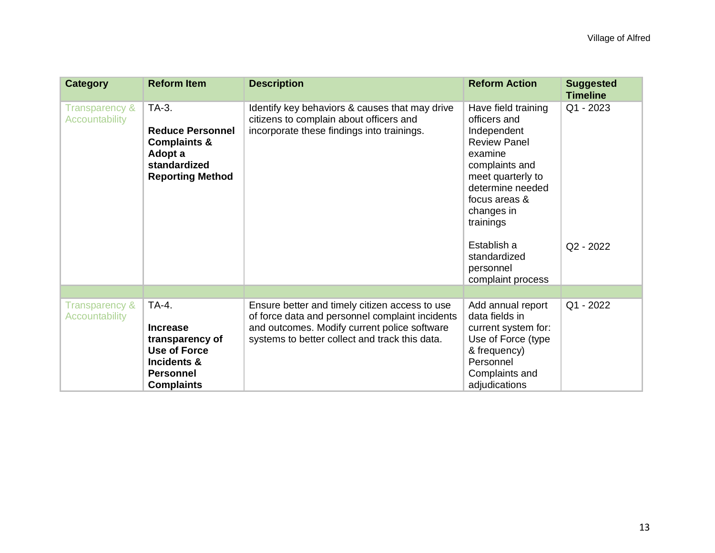| <b>Category</b>                         | <b>Reform Item</b>                                                                                                         | <b>Description</b>                                                                                                                                                                                  | <b>Reform Action</b>                                                                                                                                                                        | <b>Suggested</b><br><b>Timeline</b> |
|-----------------------------------------|----------------------------------------------------------------------------------------------------------------------------|-----------------------------------------------------------------------------------------------------------------------------------------------------------------------------------------------------|---------------------------------------------------------------------------------------------------------------------------------------------------------------------------------------------|-------------------------------------|
| Transparency &<br><b>Accountability</b> | TA-3.<br><b>Reduce Personnel</b><br><b>Complaints &amp;</b><br>Adopt a<br>standardized<br><b>Reporting Method</b>          | Identify key behaviors & causes that may drive<br>citizens to complain about officers and<br>incorporate these findings into trainings.                                                             | Have field training<br>officers and<br>Independent<br><b>Review Panel</b><br>examine<br>complaints and<br>meet quarterly to<br>determine needed<br>focus areas &<br>changes in<br>trainings | Q1 - 2023                           |
|                                         |                                                                                                                            |                                                                                                                                                                                                     | Establish a<br>standardized<br>personnel<br>complaint process                                                                                                                               | Q2 - 2022                           |
|                                         |                                                                                                                            |                                                                                                                                                                                                     |                                                                                                                                                                                             |                                     |
| Transparency &<br><b>Accountability</b> | TA-4.<br><b>Increase</b><br>transparency of<br><b>Use of Force</b><br>Incidents &<br><b>Personnel</b><br><b>Complaints</b> | Ensure better and timely citizen access to use<br>of force data and personnel complaint incidents<br>and outcomes. Modify current police software<br>systems to better collect and track this data. | Add annual report<br>data fields in<br>current system for:<br>Use of Force (type<br>& frequency)<br>Personnel<br>Complaints and<br>adjudications                                            | Q1 - 2022                           |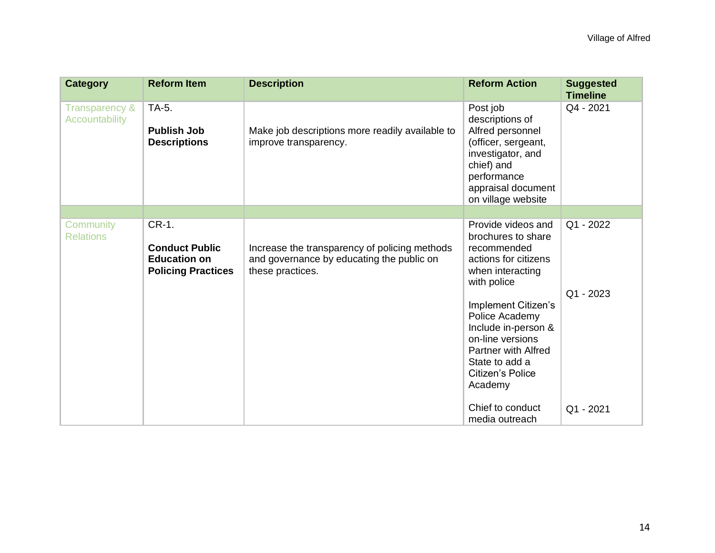| <b>Category</b>                             | <b>Reform Item</b>                                                                 | <b>Description</b>                                                                                             | <b>Reform Action</b>                                                                                                                                                                                                                                                           | <b>Suggested</b><br><b>Timeline</b> |
|---------------------------------------------|------------------------------------------------------------------------------------|----------------------------------------------------------------------------------------------------------------|--------------------------------------------------------------------------------------------------------------------------------------------------------------------------------------------------------------------------------------------------------------------------------|-------------------------------------|
| <b>Transparency &amp;</b><br>Accountability | TA-5.<br><b>Publish Job</b><br><b>Descriptions</b>                                 | Make job descriptions more readily available to<br>improve transparency.                                       | Post job<br>descriptions of<br>Alfred personnel<br>(officer, sergeant,<br>investigator, and<br>chief) and<br>performance<br>appraisal document<br>on village website                                                                                                           | Q4 - 2021                           |
|                                             |                                                                                    |                                                                                                                |                                                                                                                                                                                                                                                                                |                                     |
| Community<br><b>Relations</b>               | CR-1.<br><b>Conduct Public</b><br><b>Education on</b><br><b>Policing Practices</b> | Increase the transparency of policing methods<br>and governance by educating the public on<br>these practices. | Provide videos and<br>brochures to share<br>recommended<br>actions for citizens<br>when interacting<br>with police<br>Implement Citizen's<br>Police Academy<br>Include in-person &<br>on-line versions<br>Partner with Alfred<br>State to add a<br>Citizen's Police<br>Academy | Q1 - 2022<br>Q1 - 2023              |
|                                             |                                                                                    |                                                                                                                | Chief to conduct<br>media outreach                                                                                                                                                                                                                                             | Q1 - 2021                           |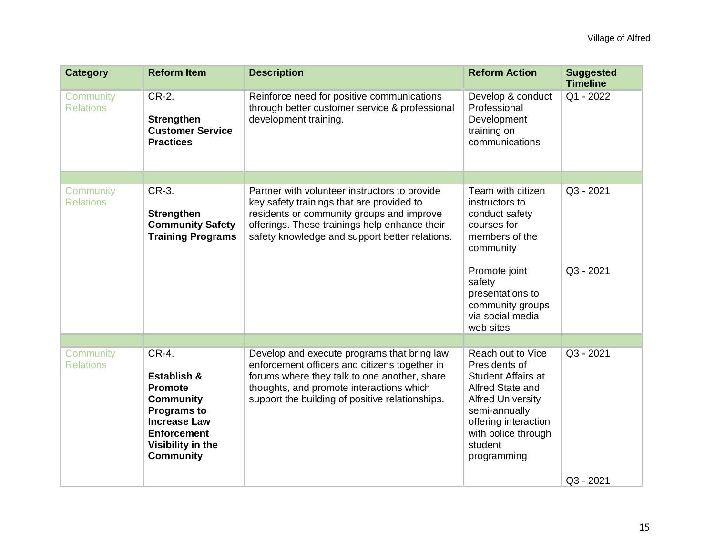| <b>Category</b>               | <b>Reform Item</b>                                                                                                                                                     | <b>Description</b>                                                                                                                                                                                                                          | <b>Reform Action</b>                                                                                                                                                                                      | <b>Suggested</b><br><b>Timeline</b> |
|-------------------------------|------------------------------------------------------------------------------------------------------------------------------------------------------------------------|---------------------------------------------------------------------------------------------------------------------------------------------------------------------------------------------------------------------------------------------|-----------------------------------------------------------------------------------------------------------------------------------------------------------------------------------------------------------|-------------------------------------|
| Community<br><b>Relations</b> | CR-2.<br><b>Strengthen</b><br><b>Customer Service</b><br><b>Practices</b>                                                                                              | Reinforce need for positive communications<br>through better customer service & professional<br>development training.                                                                                                                       | Develop & conduct<br>Professional<br>Development<br>training on<br>communications                                                                                                                         | Q1 - 2022                           |
|                               |                                                                                                                                                                        |                                                                                                                                                                                                                                             |                                                                                                                                                                                                           |                                     |
| Community<br><b>Relations</b> | CR-3.<br><b>Strengthen</b><br><b>Community Safety</b><br><b>Training Programs</b>                                                                                      | Partner with volunteer instructors to provide<br>key safety trainings that are provided to<br>residents or community groups and improve<br>offerings. These trainings help enhance their<br>safety knowledge and support better relations.  | Team with citizen<br>instructors to<br>conduct safety<br>courses for<br>members of the<br>community<br>Promote joint<br>safety<br>presentations to<br>community groups<br>via social media<br>web sites   | Q3 - 2021<br>Q3 - 2021              |
|                               |                                                                                                                                                                        |                                                                                                                                                                                                                                             |                                                                                                                                                                                                           |                                     |
| Community<br><b>Relations</b> | CR-4.<br>Establish &<br><b>Promote</b><br><b>Community</b><br><b>Programs to</b><br><b>Increase Law</b><br><b>Enforcement</b><br>Visibility in the<br><b>Community</b> | Develop and execute programs that bring law<br>enforcement officers and citizens together in<br>forums where they talk to one another, share<br>thoughts, and promote interactions which<br>support the building of positive relationships. | Reach out to Vice<br>Presidents of<br><b>Student Affairs at</b><br>Alfred State and<br><b>Alfred University</b><br>semi-annually<br>offering interaction<br>with police through<br>student<br>programming | Q3 - 2021                           |
|                               |                                                                                                                                                                        |                                                                                                                                                                                                                                             |                                                                                                                                                                                                           | Q3 - 2021                           |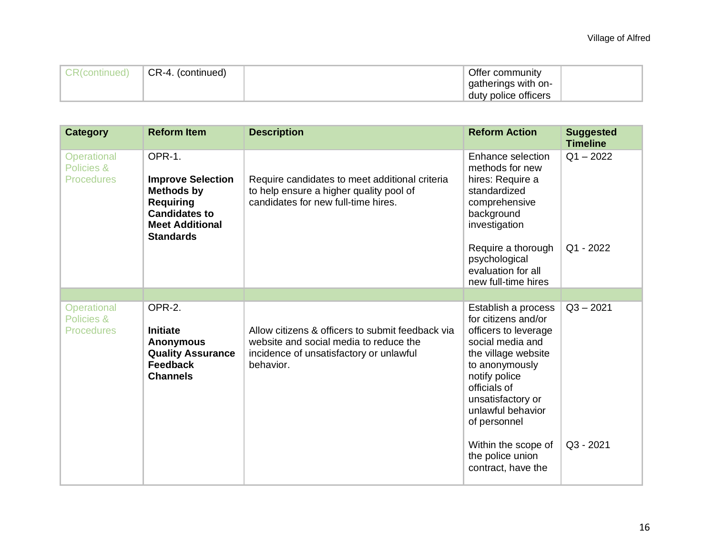| CR(continued) | CR-4. (continued) | Offer community      |  |
|---------------|-------------------|----------------------|--|
|               |                   | gatherings with on-  |  |
|               |                   | duty police officers |  |

| <b>Category</b>                                       | <b>Reform Item</b>                                                                                                                                | <b>Description</b>                                                                                                                                 | <b>Reform Action</b>                                                                                                                                                                                                                                                                        | <b>Suggested</b><br><b>Timeline</b> |
|-------------------------------------------------------|---------------------------------------------------------------------------------------------------------------------------------------------------|----------------------------------------------------------------------------------------------------------------------------------------------------|---------------------------------------------------------------------------------------------------------------------------------------------------------------------------------------------------------------------------------------------------------------------------------------------|-------------------------------------|
| <b>Operational</b><br>Policies &<br><b>Procedures</b> | OPR-1.<br><b>Improve Selection</b><br><b>Methods by</b><br><b>Requiring</b><br><b>Candidates to</b><br><b>Meet Additional</b><br><b>Standards</b> | Require candidates to meet additional criteria<br>to help ensure a higher quality pool of<br>candidates for new full-time hires.                   | Enhance selection<br>methods for new<br>hires: Require a<br>standardized<br>comprehensive<br>background<br>investigation<br>Require a thorough<br>psychological<br>evaluation for all<br>new full-time hires                                                                                | $Q1 - 2022$<br>Q1 - 2022            |
|                                                       |                                                                                                                                                   |                                                                                                                                                    |                                                                                                                                                                                                                                                                                             |                                     |
| <b>Operational</b><br>Policies &<br><b>Procedures</b> | OPR-2.<br><b>Initiate</b><br><b>Anonymous</b><br><b>Quality Assurance</b><br><b>Feedback</b><br><b>Channels</b>                                   | Allow citizens & officers to submit feedback via<br>website and social media to reduce the<br>incidence of unsatisfactory or unlawful<br>behavior. | Establish a process<br>for citizens and/or<br>officers to leverage<br>social media and<br>the village website<br>to anonymously<br>notify police<br>officials of<br>unsatisfactory or<br>unlawful behavior<br>of personnel<br>Within the scope of<br>the police union<br>contract, have the | $Q3 - 2021$<br>Q3 - 2021            |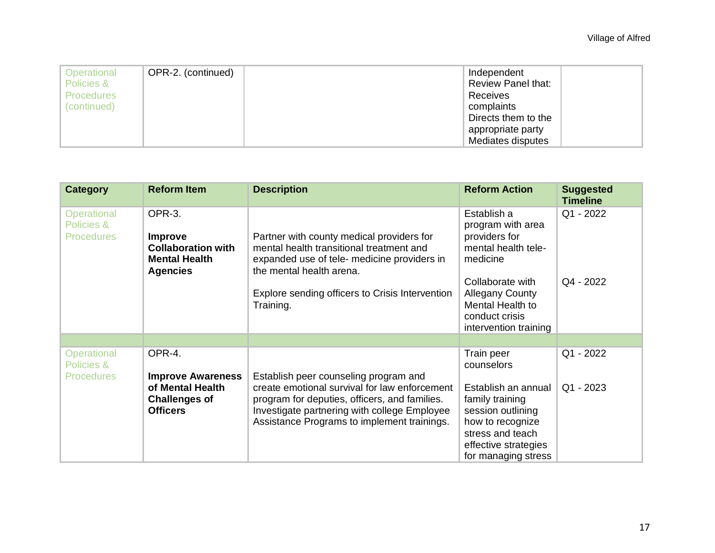| Operational<br>Policies &<br><b>Procedures</b><br>(continued) | OPR-2. (continued) | Independent<br><b>Review Panel that:</b><br>Receives<br>complaints<br>Directs them to the<br>appropriate party |  |
|---------------------------------------------------------------|--------------------|----------------------------------------------------------------------------------------------------------------|--|
|                                                               |                    | Mediates disputes                                                                                              |  |

| <b>Category</b>                                | <b>Reform Item</b>                                                                               | <b>Description</b>                                                                                                                                                                                                               | <b>Reform Action</b>                                                                                                                                                                              | <b>Suggested</b><br><b>Timeline</b> |
|------------------------------------------------|--------------------------------------------------------------------------------------------------|----------------------------------------------------------------------------------------------------------------------------------------------------------------------------------------------------------------------------------|---------------------------------------------------------------------------------------------------------------------------------------------------------------------------------------------------|-------------------------------------|
| Operational<br>Policies &<br><b>Procedures</b> | OPR-3.<br><b>Improve</b><br><b>Collaboration with</b><br><b>Mental Health</b><br><b>Agencies</b> | Partner with county medical providers for<br>mental health transitional treatment and<br>expanded use of tele- medicine providers in<br>the mental health arena.<br>Explore sending officers to Crisis Intervention<br>Training. | Establish a<br>program with area<br>providers for<br>mental health tele-<br>medicine<br>Collaborate with<br><b>Allegany County</b><br>Mental Health to<br>conduct crisis<br>intervention training | Q1 - 2022<br>Q4 - 2022              |
|                                                |                                                                                                  |                                                                                                                                                                                                                                  |                                                                                                                                                                                                   |                                     |
| Operational<br>Policies &<br><b>Procedures</b> | OPR-4.<br><b>Improve Awareness</b>                                                               | Establish peer counseling program and                                                                                                                                                                                            | Train peer<br>counselors                                                                                                                                                                          | Q1 - 2022                           |
|                                                | of Mental Health<br><b>Challenges of</b><br><b>Officers</b>                                      | create emotional survival for law enforcement<br>program for deputies, officers, and families.<br>Investigate partnering with college Employee<br>Assistance Programs to implement trainings.                                    | Establish an annual<br>family training<br>session outlining<br>how to recognize<br>stress and teach<br>effective strategies<br>for managing stress                                                | Q1 - 2023                           |